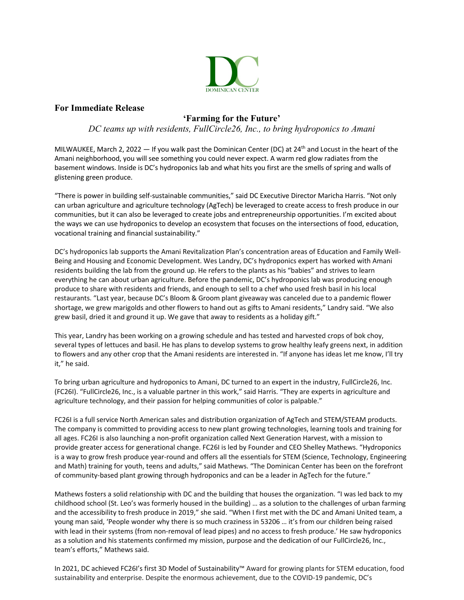

## **For Immediate Release**

## **'Farming for the Future'**

*DC teams up with residents, FullCircle26, Inc., to bring hydroponics to Amani*

MILWAUKEE, March 2, 2022  $-$  If you walk past the Dominican Center (DC) at 24<sup>th</sup> and Locust in the heart of the Amani neighborhood, you will see something you could never expect. A warm red glow radiates from the basement windows. Inside is DC's hydroponics lab and what hits you first are the smells of spring and walls of glistening green produce.

"There is power in building self-sustainable communities," said DC Executive Director Maricha Harris. "Not only can urban agriculture and agriculture technology (AgTech) be leveraged to create access to fresh produce in our communities, but it can also be leveraged to create jobs and entrepreneurship opportunities. I'm excited about the ways we can use hydroponics to develop an ecosystem that focuses on the intersections of food, education, vocational training and financial sustainability."

DC's hydroponics lab supports the Amani Revitalization Plan's concentration areas of Education and Family Well-Being and Housing and Economic Development. Wes Landry, DC's hydroponics expert has worked with Amani residents building the lab from the ground up. He refers to the plants as his "babies" and strives to learn everything he can about urban agriculture. Before the pandemic, DC's hydroponics lab was producing enough produce to share with residents and friends, and enough to sell to a chef who used fresh basil in his local restaurants. "Last year, because DC's Bloom & Groom plant giveaway was canceled due to a pandemic flower shortage, we grew marigolds and other flowers to hand out as gifts to Amani residents," Landry said. "We also grew basil, dried it and ground it up. We gave that away to residents as a holiday gift."

This year, Landry has been working on a growing schedule and has tested and harvested crops of bok choy, several types of lettuces and basil. He has plans to develop systems to grow healthy leafy greens next, in addition to flowers and any other crop that the Amani residents are interested in. "If anyone has ideas let me know, I'll try it," he said.

To bring urban agriculture and hydroponics to Amani, DC turned to an expert in the industry, FullCircle26, Inc. (FC26I). "FullCircle26, Inc., is a valuable partner in this work," said Harris. "They are experts in agriculture and agriculture technology, and their passion for helping communities of color is palpable."

FC26I is a full service North American sales and distribution organization of AgTech and STEM/STEAM products. The company is committed to providing access to new plant growing technologies, learning tools and training for all ages. FC26I is also launching a non-profit organization called Next Generation Harvest, with a mission to provide greater access for generational change. FC26I is led by Founder and CEO Shelley Mathews. "Hydroponics is a way to grow fresh produce year-round and offers all the essentials for STEM (Science, Technology, Engineering and Math) training for youth, teens and adults," said Mathews. "The Dominican Center has been on the forefront of community-based plant growing through hydroponics and can be a leader in AgTech for the future."

Mathews fosters a solid relationship with DC and the building that houses the organization. "I was led back to my childhood school (St. Leo's was formerly housed in the building) … as a solution to the challenges of urban farming and the accessibility to fresh produce in 2019," she said. "When I first met with the DC and Amani United team, a young man said, 'People wonder why there is so much craziness in 53206 … it's from our children being raised with lead in their systems (from non-removal of lead pipes) and no access to fresh produce.' He saw hydroponics as a solution and his statements confirmed my mission, purpose and the dedication of our FullCircle26, Inc., team's efforts," Mathews said.

In 2021, DC achieved FC26I's first 3D Model of Sustainability™ Award for growing plants for STEM education, food sustainability and enterprise. Despite the enormous achievement, due to the COVID-19 pandemic, DC's